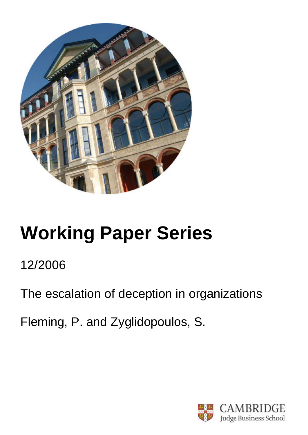

# **Working Paper Series**

## 12/2006

The escalation of deception in organizations

Fleming, P. and Zyglidopoulos, S.

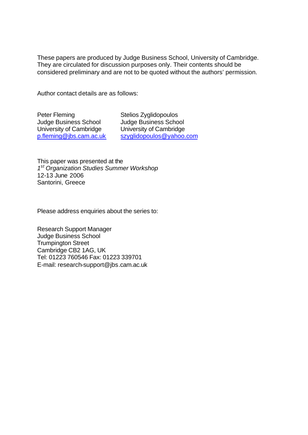These papers are produced by Judge Business School, University of Cambridge. They are circulated for discussion purposes only. Their contents should be considered preliminary and are not to be quoted without the authors' permission.

Author contact details are as follows:

Peter Fleming Judge Business School University of Cambridge p.fleming@jbs.cam.ac.uk Stelios Zyglidopoulos Judge Business School University of Cambridge szyglidopoulos@yahoo.com

This paper was presented at the *1 st Organization Studies Summer Workshop* 12-13 June 2006 Santorini, Greece

Please address enquiries about the series to:

Research Support Manager Judge Business School Trumpington Street Cambridge CB2 1AG, UK Tel: 01223 760546 Fax: 01223 339701 E-mail: research-support@jbs.cam.ac.uk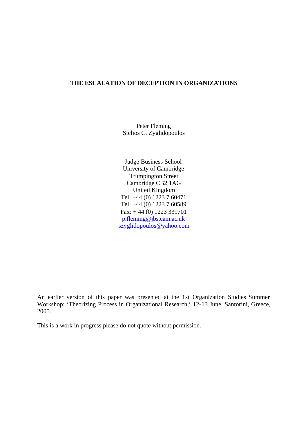#### **THE ESCALATION OF DECEPTION IN ORGANIZATIONS**

Peter Fleming Stelios C. Zyglidopoulos

 Judge Business School University of Cambridge Trumpington Street Cambridge CB2 1AG United Kingdom Tel: +44 (0) 1223 7 60471 Tel: +44 (0) 1223 7 60589 Fax: + 44 (0) 1223 339701 p.fleming@jbs.cam.ac.uk szyglidopoulos@yahoo.com

An earlier version of this paper was presented at the 1st Organization Studies Summer Workshop: 'Theorizing Process in Organizational Research,' 12-13 June, Santorini, Greece, 2005.

This is a work in progress please do not quote without permission.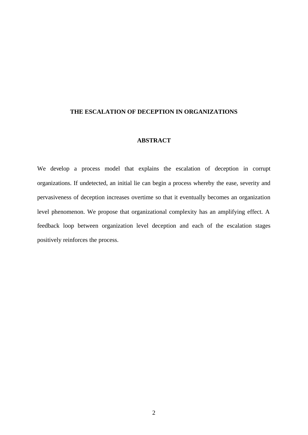#### **THE ESCALATION OF DECEPTION IN ORGANIZATIONS**

#### **ABSTRACT**

We develop a process model that explains the escalation of deception in corrupt organizations. If undetected, an initial lie can begin a process whereby the ease, severity and pervasiveness of deception increases overtime so that it eventually becomes an organization level phenomenon. We propose that organizational complexity has an amplifying effect. A feedback loop between organization level deception and each of the escalation stages positively reinforces the process.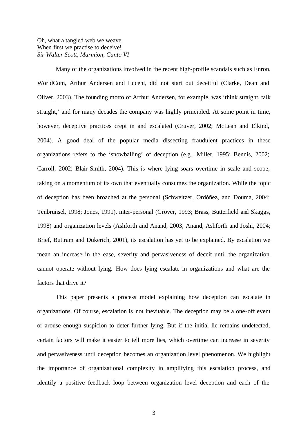#### Oh, what a tangled web we weave When first we practise to deceive! *Sir Walter Scott, Marmion, Canto VI*

Many of the organizations involved in the recent high-profile scandals such as Enron, WorldCom, Arthur Andersen and Lucent, did not start out deceitful (Clarke, Dean and Oliver, 2003). The founding motto of Arthur Andersen, for example, was 'think straight, talk straight,' and for many decades the company was highly principled. At some point in time, however, deceptive practices crept in and escalated (Cruver, 2002; McLean and Elkind, 2004). A good deal of the popular media dissecting fraudulent practices in these organizations refers to the 'snowballing' of deception (e.g., Miller, 1995; Bennis, 2002; Carroll, 2002; Blair-Smith, 2004). This is where lying soars overtime in scale and scope, taking on a momentum of its own that eventually consumes the organization. While the topic of deception has been broached at the personal (Schweitzer, Ordóñez, and Douma, 2004; Tenbrunsel, 1998; Jones, 1991), inter-personal (Grover, 1993; Brass, Butterfield and Skaggs, 1998) and organization levels (Ashforth and Anand, 2003; Anand, Ashforth and Joshi, 2004; Brief, Buttram and Dukerich, 2001), its escalation has yet to be explained. By escalation we mean an increase in the ease, severity and pervasiveness of deceit until the organization cannot operate without lying. How does lying escalate in organizations and what are the factors that drive it?

This paper presents a process model explaining how deception can escalate in organizations. Of course, escalation is not inevitable. The deception may be a one-off event or arouse enough suspicion to deter further lying. But if the initial lie remains undetected, certain factors will make it easier to tell more lies, which overtime can increase in severity and pervasiveness until deception becomes an organization level phenomenon. We highlight the importance of organizational complexity in amplifying this escalation process, and identify a positive feedback loop between organization level deception and each of the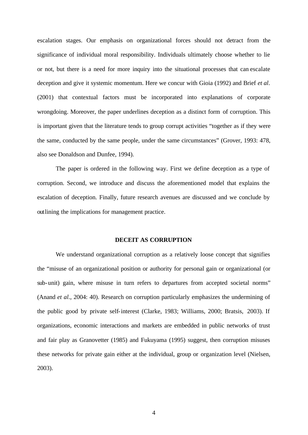escalation stages. Our emphasis on organizational forces should not detract from the significance of individual moral responsibility. Individuals ultimately choose whether to lie or not, but there is a need for more inquiry into the situational processes that can escalate deception and give it systemic momentum. Here we concur with Gioia (1992) and Brief *et al*. (2001) that contextual factors must be incorporated into explanations of corporate wrongdoing. Moreover, the paper underlines deception as a distinct form of corruption. This is important given that the literature tends to group corrupt activities "together as if they were the same, conducted by the same people, under the same circumstances" (Grover, 1993: 478, also see Donaldson and Dunfee, 1994).

The paper is ordered in the following way. First we define deception as a type of corruption. Second, we introduce and discuss the aforementioned model that explains the escalation of deception. Finally, future research avenues are discussed and we conclude by outlining the implications for management practice.

#### **DECEIT AS CORRUPTION**

We understand organizational corruption as a relatively loose concept that signifies the "misuse of an organizational position or authority for personal gain or organizational (or sub-unit) gain, where misuse in turn refers to departures from accepted societal norms" (Anand *et al*., 2004: 40). Research on corruption particularly emphasizes the undermining of the public good by private self-interest (Clarke, 1983; Williams, 2000; Bratsis, 2003). If organizations, economic interactions and markets are embedded in public networks of trust and fair play as Granovetter (1985) and Fukuyama (1995) suggest, then corruption misuses these networks for private gain either at the individual, group or organization level (Nielsen, 2003).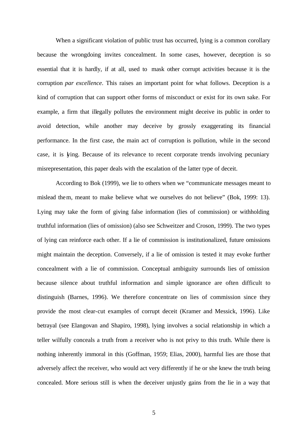When a significant violation of public trust has occurred, lying is a common corollary because the wrongdoing invites concealment. In some cases, however, deception is so essential that it is hardly, if at all, used to mask other corrupt activities because it is the corruption *par excellence*. This raises an important point for what follows. Deception is a kind of corruption that can support other forms of misconduct or exist for its own sake. For example, a firm that illegally pollutes the environment might deceive its public in order to avoid detection, while another may deceive by grossly exaggerating its financial performance. In the first case, the main act of corruption is pollution, while in the second case, it is lying. Because of its relevance to recent corporate trends involving pecuniary misrepresentation, this paper deals with the escalation of the latter type of deceit.

According to Bok (1999), we lie to others when we "communicate messages meant to mislead them, meant to make believe what we ourselves do not believe" (Bok, 1999: 13). Lying may take the form of giving false information (lies of commission) or withholding truthful information (lies of omission) (also see Schweitzer and Croson, 1999). The two types of lying can reinforce each other. If a lie of commission is institutionalized, future omissions might maintain the deception. Conversely, if a lie of omission is tested it may evoke further concealment with a lie of commission. Conceptual ambiguity surrounds lies of omission because silence about truthful information and simple ignorance are often difficult to distinguish (Barnes, 1996). We therefore concentrate on lies of commission since they provide the most clear-cut examples of corrupt deceit (Kramer and Messick, 1996). Like betrayal (see Elangovan and Shapiro, 1998), lying involves a social relationship in which a teller wilfully conceals a truth from a receiver who is not privy to this truth. While there is nothing inherently immoral in this (Goffman, 1959; Elias, 2000), harmful lies are those that adversely affect the receiver, who would act very differently if he or she knew the truth being concealed. More serious still is when the deceiver unjustly gains from the lie in a way that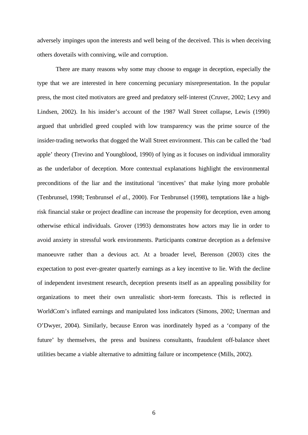adversely impinges upon the interests and well being of the deceived. This is when deceiving others dovetails with conniving, wile and corruption.

There are many reasons why some may choose to engage in deception, especially the type that we are interested in here concerning pecuniary misrepresentation. In the popular press, the most cited motivators are greed and predatory self-interest (Cruver, 2002; Levy and Lindsen, 2002). In his insider's account of the 1987 Wall Street collapse, Lewis (1990) argued that unbridled greed coupled with low transparency was the prime source of the insider-trading networks that dogged the Wall Street environment. This can be called the 'bad apple' theory (Trevino and Youngblood, 1990) of lying as it focuses on individual immorality as the underlabor of deception. More contextual explanations highlight the environmental preconditions of the liar and the institutional 'incentives' that make lying more probable (Tenbrunsel, 1998; Tenbrunsel *el al*., 2000). For Tenbrunsel (1998), temptations like a highrisk financial stake or project deadline can increase the propensity for deception, even among otherwise ethical individuals. Grover (1993) demonstrates how actors may lie in order to avoid anxiety in stressful work environments. Participants construe deception as a defensive manoeuvre rather than a devious act. At a broader level, Berenson (2003) cites the expectation to post ever-greater quarterly earnings as a key incentive to lie. With the decline of independent investment research, deception presents itself as an appealing possibility for organizations to meet their own unrealistic short-term forecasts. This is reflected in WorldCom's inflated earnings and manipulated loss indicators (Simons, 2002; Unerman and O'Dwyer, 2004). Similarly, because Enron was inordinately hyped as a 'company of the future' by themselves, the press and business consultants, fraudulent off-balance sheet utilities became a viable alternative to admitting failure or incompetence (Mills, 2002).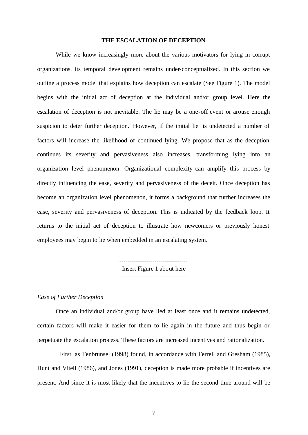#### **THE ESCALATION OF DECEPTION**

While we know increasingly more about the various motivators for lying in corrupt organizations, its temporal development remains under-conceptualized. In this section we outline a process model that explains how deception can escalate (See Figure 1). The model begins with the initial act of deception at the individual and/or group level. Here the escalation of deception is not inevitable. The lie may be a one-off event or arouse enough suspicion to deter further deception. However, if the initial lie is undetected a number of factors will increase the likelihood of continued lying. We propose that as the deception continues its severity and pervasiveness also increases, transforming lying into an organization level phenomenon. Organizational complexity can amplify this process by directly influencing the ease, severity and pervasiveness of the deceit. Once deception has become an organization level phenomenon, it forms a background that further increases the ease, severity and pervasiveness of deception. This is indicated by the feedback loop. It returns to the initial act of deception to illustrate how newcomers or previously honest employees may begin to lie when embedded in an escalating system.

> --------------------------------- Insert Figure 1 about here ---------------------------------

#### *Ease of Further Deception*

Once an individual and/or group have lied at least once and it remains undetected, certain factors will make it easier for them to lie again in the future and thus begin or perpetuate the escalation process. These factors are increased incentives and rationalization.

 First, as Tenbrunsel (1998) found, in accordance with Ferrell and Gresham (1985), Hunt and Vitell (1986), and Jones (1991), deception is made more probable if incentives are present. And since it is most likely that the incentives to lie the second time around will be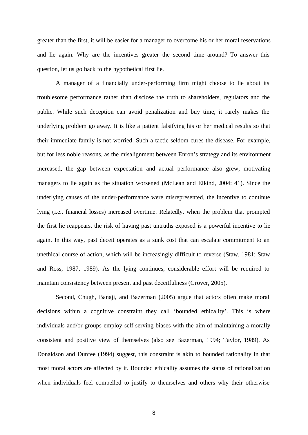greater than the first, it will be easier for a manager to overcome his or her moral reservations and lie again. Why are the incentives greater the second time around? To answer this question, let us go back to the hypothetical first lie.

A manager of a financially under-performing firm might choose to lie about its troublesome performance rather than disclose the truth to shareholders, regulators and the public. While such deception can avoid penalization and buy time, it rarely makes the underlying problem go away. It is like a patient falsifying his or her medical results so that their immediate family is not worried. Such a tactic seldom cures the disease. For example, but for less noble reasons, as the misalignment between Enron's strategy and its environment increased, the gap between expectation and actual performance also grew, motivating managers to lie again as the situation worsened (McLean and Elkind, 2004: 41). Since the underlying causes of the under-performance were misrepresented, the incentive to continue lying (i.e., financial losses) increased overtime. Relatedly, when the problem that prompted the first lie reappears, the risk of having past untruths exposed is a powerful incentive to lie again. In this way, past deceit operates as a sunk cost that can escalate commitment to an unethical course of action, which will be increasingly difficult to reverse (Staw, 1981; Staw and Ross, 1987, 1989). As the lying continues, considerable effort will be required to maintain consistency between present and past deceitfulness (Grover, 2005).

Second, Chugh, Banaji, and Bazerman (2005) argue that actors often make moral decisions within a cognitive constraint they call 'bounded ethicality'. This is where individuals and/or groups employ self-serving biases with the aim of maintaining a morally consistent and positive view of themselves (also see Bazerman, 1994; Taylor, 1989). As Donaldson and Dunfee (1994) suggest, this constraint is akin to bounded rationality in that most moral actors are affected by it. Bounded ethicality assumes the status of rationalization when individuals feel compelled to justify to themselves and others why their otherwise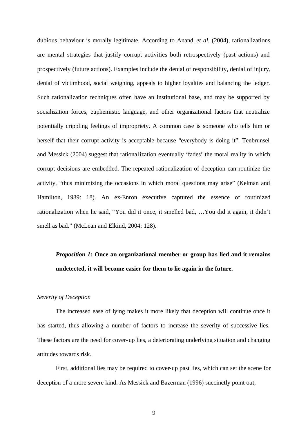dubious behaviour is morally legitimate. According to Anand *et al.* (2004), rationalizations are mental strategies that justify corrupt activities both retrospectively (past actions) and prospectively (future actions). Examples include the denial of responsibility, denial of injury, denial of victimhood, social weighing, appeals to higher loyalties and balancing the ledger. Such rationalization techniques often have an institutional base, and may be supported by socialization forces, euphemistic language, and other organizational factors that neutralize potentially crippling feelings of impropriety. A common case is someone who tells him or herself that their corrupt activity is acceptable because "everybody is doing it". Tenbrunsel and Messick (2004) suggest that rationa lization eventually 'fades' the moral reality in which corrupt decisions are embedded. The repeated rationalization of deception can routinize the activity, "thus minimizing the occasions in which moral questions may arise" (Kelman and Hamilton, 1989: 18). An ex-Enron executive captured the essence of routinized rationalization when he said, "You did it once, it smelled bad, …You did it again, it didn't smell as bad." (McLean and Elkind, 2004: 128).

## *Proposition 1:* **Once an organizational member or group has lied and it remains undetected, it will become easier for them to lie again in the future.**

#### *Severity of Deception*

The increased ease of lying makes it more likely that deception will continue once it has started, thus allowing a number of factors to increase the severity of successive lies. These factors are the need for cover-up lies, a deteriorating underlying situation and changing attitudes towards risk.

First, additional lies may be required to cover-up past lies, which can set the scene for deception of a more severe kind. As Messick and Bazerman (1996) succinctly point out,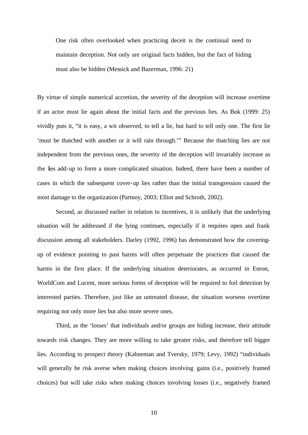One risk often overlooked when practicing deceit is the continual need to maintain deception. Not only are original facts hidden, but the fact of hiding must also be hidden (Messick and Bazerman, 1996: 21)

By virtue of simple numerical accretion, the severity of the deception will increase overtime if an actor must lie again about the initial facts and the previous lies. As Bok (1999: 25) vividly puts it, "it is easy, a wit observed, to tell a lie, but hard to tell only one. The first lie 'must be thatched with another or it will rain through.'" Because the thatching lies are not independent from the previous ones, the severity of the deception will invariably increase as the lies add-up to form a more complicated situation. Indeed, there have been a number of cases in which the subsequent cover-up lies rather than the initial transgression caused the most damage to the organization (Partnoy, 2003; Elliot and Schroth, 2002).

Second, as discussed earlier in relation to incentives, it is unlikely that the underlying situation will be addressed if the lying continues, especially if it requires open and frank discussion among all stakeholders. Darley (1992, 1996) has demonstrated how the coveringup of evidence pointing to past harms will often perpetuate the practices that caused the harms in the first place. If the underlying situation deteriorates, as occurred in Enron, WorldCom and Lucent, more serious forms of deception will be required to foil detection by interested parties. Therefore, just like an untreated disease, the situation worsens overtime requiring not only more lies but also more severe ones.

Third, as the 'losses' that individuals and/or groups are hiding increase, their attitude towards risk changes. They are more willing to take greater risks, and therefore tell bigger lies. According to prospect theory (Kahneman and Tversky, 1979; Levy, 1992) "individuals will generally be risk averse when making choices involving gains (i.e., positively framed choices) but will take risks when making choices involving losses (i.e., negatively framed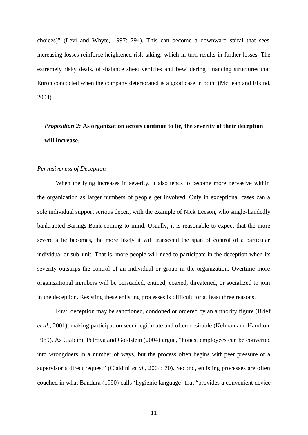choices)" (Levi and Whyte, 1997: 794). This can become a downward spiral that sees increasing losses reinforce heightened risk-taking, which in turn results in further losses. The extremely risky deals, off-balance sheet vehicles and bewildering financing structures that Enron concocted when the company deteriorated is a good case in point (McLean and Elkind, 2004).

## *Proposition 2:* **As organization actors continue to lie, the severity of their deception will increase.**

#### *Pervasiveness of Deception*

When the lying increases in severity, it also tends to become more pervasive within the organization as larger numbers of people get involved. Only in exceptional cases can a sole individual support serious deceit, with the example of Nick Leeson, who single-handedly bankrupted Barings Bank coming to mind. Usually, it is reasonable to expect that the more severe a lie becomes, the more likely it will transcend the span of control of a particular individual or sub-unit. That is, more people will need to participate in the deception when its severity outstrips the control of an individual or group in the organization. Overtime more organizational members will be persuaded, enticed, coaxed, threatened, or socialized to join in the deception. Resisting these enlisting processes is difficult for at least three reasons.

First, deception may be sanctioned, condoned or ordered by an authority figure (Brief *et al*., 2001), making participation seem legitimate and often desirable (Kelman and Hamlton, 1989). As Cialdini, Petrova and Goldstein (2004) argue, "honest employees can be converted into wrongdoers in a number of ways, but the process often begins with peer pressure or a supervisor's direct request" (Cialdini *et al.*, 2004: 70). Second, enlisting processes are often couched in what Bandura (1990) calls 'hygienic language' that "provides a convenient device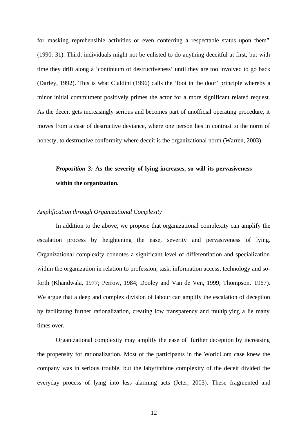for masking reprehensible activities or even conferring a respectable status upon them" (1990: 31). Third, individuals might not be enlisted to do anything deceitful at first, but with time they drift along a 'continuum of destructiveness' until they are too involved to go back (Darley, 1992). This is what Cialdini (1996) calls the 'foot in the door' principle whereby a minor initial commitment positively primes the actor for a more significant related request. As the deceit gets increasingly serious and becomes part of unofficial operating procedure, it moves from a case of destructive deviance, where one person lies in contrast to the norm of honesty, to destructive conformity where deceit is the organizational norm (Warren, 2003).

## *Proposition 3:* **As the severity of lying increases, so will its pervasiveness within the organization.**

#### *Amplification through Organizational Complexity*

In addition to the above, we propose that organizational complexity can amplify the escalation process by heightening the ease, severity and pervasiveness of lying. Organizational complexity connotes a significant level of differentiation and specialization within the organization in relation to profession, task, information access, technology and soforth (Khandwala, 1977; Perrow, 1984; Dooley and Van de Ven, 1999; Thompson, 1967). We argue that a deep and complex division of labour can amplify the escalation of deception by facilitating further rationalization, creating low transparency and multiplying a lie many times over.

Organizational complexity may amplify the ease of further deception by increasing the propensity for rationalization. Most of the participants in the WorldCom case knew the company was in serious trouble, but the labyrinthine complexity of the deceit divided the everyday process of lying into less alarming acts (Jeter, 2003). These fragmented and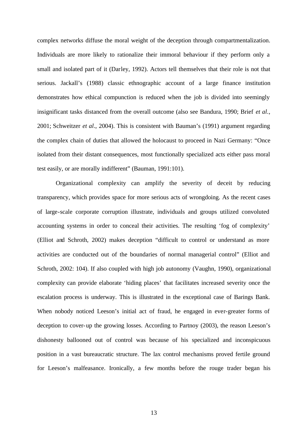complex networks diffuse the moral weight of the deception through compartmentalization. Individuals are more likely to rationalize their immoral behaviour if they perform only a small and isolated part of it (Darley, 1992). Actors tell themselves that their role is not that serious. Jackall's (1988) classic ethnographic account of a large finance institution demonstrates how ethical compunction is reduced when the job is divided into seemingly insignificant tasks distanced from the overall outcome (also see Bandura, 1990; Brief *et al*., 2001; Schweitzer *et al*., 2004). This is consistent with Bauman's (1991) argument regarding the complex chain of duties that allowed the holocaust to proceed in Nazi Germany: "Once isolated from their distant consequences, most functionally specialized acts either pass moral test easily, or are morally indifferent" (Bauman, 1991:101).

Organizational complexity can amplify the severity of deceit by reducing transparency, which provides space for more serious acts of wrongdoing. As the recent cases of large-scale corporate corruption illustrate, individuals and groups utilized convoluted accounting systems in order to conceal their activities. The resulting 'fog of complexity' (Elliot and Schroth, 2002) makes deception "difficult to control or understand as more activities are conducted out of the boundaries of normal managerial control" (Elliot and Schroth, 2002: 104). If also coupled with high job autonomy (Vaughn, 1990), organizational complexity can provide elaborate 'hiding places' that facilitates increased severity once the escalation process is underway. This is illustrated in the exceptional case of Barings Bank. When nobody noticed Leeson's initial act of fraud, he engaged in ever-greater forms of deception to cover-up the growing losses. According to Partnoy (2003), the reason Leeson's dishonesty ballooned out of control was because of his specialized and inconspicuous position in a vast bureaucratic structure. The lax control mechanisms proved fertile ground for Leeson's malfeasance. Ironically, a few months before the rouge trader began his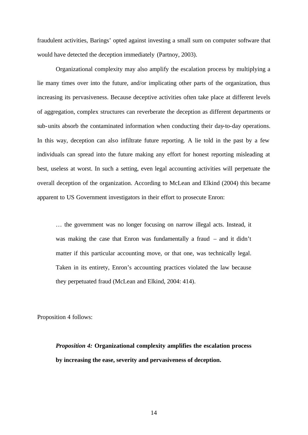fraudulent activities, Barings' opted against investing a small sum on computer software that would have detected the deception immediately (Partnoy, 2003).

Organizational complexity may also amplify the escalation process by multiplying a lie many times over into the future, and/or implicating other parts of the organization, thus increasing its pervasiveness. Because deceptive activities often take place at different levels of aggregation, complex structures can reverberate the deception as different departments or sub-units absorb the contaminated information when conducting their day-to-day operations. In this way, deception can also infiltrate future reporting. A lie told in the past by a few individuals can spread into the future making any effort for honest reporting misleading at best, useless at worst. In such a setting, even legal accounting activities will perpetuate the overall deception of the organization. According to McLean and Elkind (2004) this became apparent to US Government investigators in their effort to prosecute Enron:

… the government was no longer focusing on narrow illegal acts. Instead, it was making the case that Enron was fundamentally a fraud – and it didn't matter if this particular accounting move, or that one, was technically legal. Taken in its entirety, Enron's accounting practices violated the law because they perpetuated fraud (McLean and Elkind, 2004: 414).

Proposition 4 follows:

*Proposition 4:* **Organizational complexity amplifies the escalation process by increasing the ease, severity and pervasiveness of deception.**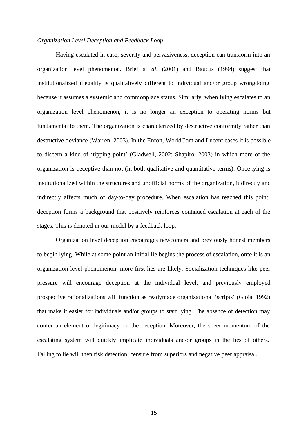#### *Organization Level Deception and Feedback Loop*

Having escalated in ease, severity and pervasiveness, deception can transform into an organization level phenomenon. Brief *et al*. (2001) and Baucus (1994) suggest that institutionalized illegality is qualitatively different to individual and/or group wrongdoing because it assumes a systemic and commonplace status. Similarly, when lying escalates to an organization level phenomenon, it is no longer an exception to operating norms but fundamental to them. The organization is characterized by destructive conformity rather than destructive deviance (Warren, 2003). In the Enron, WorldCom and Lucent cases it is possible to discern a kind of 'tipping point' (Gladwell, 2002; Shapiro, 2003) in which more of the organization is deceptive than not (in both qualitative and quantitative terms). Once lying is institutionalized within the structures and unofficial norms of the organization, it directly and indirectly affects much of day-to-day procedure. When escalation has reached this point, deception forms a background that positively reinforces continued escalation at each of the stages. This is denoted in our model by a feedback loop.

Organization level deception encourages newcomers and previously honest members to begin lying. While at some point an initial lie begins the process of escalation, once it is an organization level phenomenon, more first lies are likely. Socialization techniques like peer pressure will encourage deception at the individual level, and previously employed prospective rationalizations will function as readymade organizational 'scripts' (Gioia, 1992) that make it easier for individuals and/or groups to start lying. The absence of detection may confer an element of legitimacy on the deception. Moreover, the sheer momentum of the escalating system will quickly implicate individuals and/or groups in the lies of others. Failing to lie will then risk detection, censure from superiors and negative peer appraisal.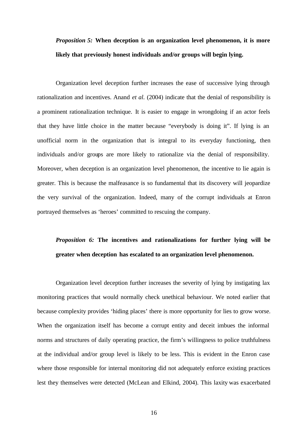## *Proposition 5:* **When deception is an organization level phenomenon, it is more likely that previously honest individuals and/or groups will begin lying.**

Organization level deception further increases the ease of successive lying through rationalization and incentives. Anand *et al.* (2004) indicate that the denial of responsibility is a prominent rationalization technique. It is easier to engage in wrongdoing if an actor feels that they have little choice in the matter because "everybody is doing it". If lying is an unofficial norm in the organization that is integral to its everyday functioning, then individuals and/or groups are more likely to rationalize via the denial of responsibility. Moreover, when deception is an organization level phenomenon, the incentive to lie again is greater. This is because the malfeasance is so fundamental that its discovery will jeopardize the very survival of the organization. Indeed, many of the corrupt individuals at Enron portrayed themselves as 'heroes' committed to rescuing the company.

## *Proposition 6:* **The incentives and rationalizations for further lying will be greater when deception has escalated to an organization level phenomenon.**

Organization level deception further increases the severity of lying by instigating lax monitoring practices that would normally check unethical behaviour. We noted earlier that because complexity provides 'hiding places' there is more opportunity for lies to grow worse. When the organization itself has become a corrupt entity and deceit imbues the informal norms and structures of daily operating practice, the firm's willingness to police truthfulness at the individual and/or group level is likely to be less. This is evident in the Enron case where those responsible for internal monitoring did not adequately enforce existing practices lest they themselves were detected (McLean and Elkind, 2004). This laxity was exacerbated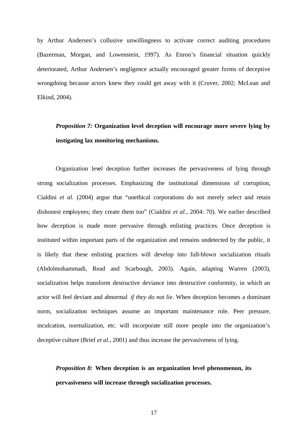by Arthur Andersen's collusive unwillingness to activate correct auditing procedures (Bazerman, Morgan, and Lowenstein, 1997). As Enron's financial situation quickly deteriorated, Arthur Andersen's negligence actually encouraged greater forms of deceptive wrongdoing because actors knew they could get away with it (Cruver, 2002; McLean and Elkind, 2004).

## *Proposition 7:* **Organization level deception will encourage more severe lying by instigating lax monitoring mechanisms.**

Organization level deception further increases the pervasiveness of lying through strong socialization processes. Emphasizing the institutional dimensions of corruption, Cialdini *et al.* (2004) argue that "unethical corporations do not merely select and retain dishonest employees; they create them too" (Cialdini *et al.*, 2004: 70). We earlier described how deception is made more pervasive through enlisting practices. Once deception is instituted within important parts of the organization and remains undetected by the public, it is likely that these enlisting practices will develop into full-blown socialization rituals (Abdolmohammadi, Read and Scarbough, 2003). Again, adapting Warren (2003), socialization helps transform destructive deviance into destructive conformity, in which an actor will feel deviant and abnormal *if they do not lie*. When deception becomes a dominant norm, socialization techniques assume an important maintenance role. Peer pressure, inculcation, normalization, etc. will incorporate still more people into the organization's deceptive culture (Brief *et al.*, 2001) and thus increase the pervasiveness of lying.

## *Proposition 8:* **When deception is an organization level phenomenon, its pervasiveness will increase through socialization processes.**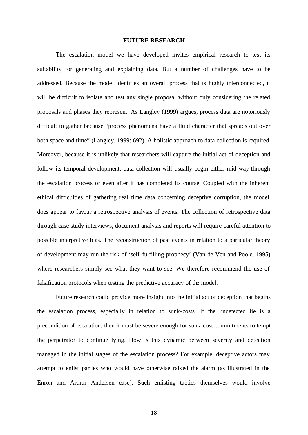#### **FUTURE RESEARCH**

The escalation model we have developed invites empirical research to test its suitability for generating and explaining data. But a number of challenges have to be addressed. Because the model identifies an overall process that is highly interconnected, it will be difficult to isolate and test any single proposal without duly considering the related proposals and phases they represent. As Langley (1999) argues, process data are notoriously difficult to gather because "process phenomena have a fluid character that spreads out over both space and time" (Langley, 1999: 692). A holistic approach to data collection is required. Moreover, because it is unlikely that researchers will capture the initial act of deception and follow its temporal development, data collection will usually begin either mid-way through the escalation process or even after it has completed its course. Coupled with the inherent ethical difficulties of gathering real time data concerning deceptive corruption, the model does appear to favour a retrospective analysis of events. The collection of retrospective data through case study interviews, document analysis and reports will require careful attention to possible interpretive bias. The reconstruction of past events in relation to a particular theory of development may run the risk of 'self-fulfilling prophecy' (Van de Ven and Poole, 1995) where researchers simply see what they want to see. We therefore recommend the use of falsification protocols when testing the predictive accuracy of the model.

Future research could provide more insight into the initial act of deception that begins the escalation process, especially in relation to sunk-costs. If the undetected lie is a precondition of escalation, then it must be severe enough for sunk-cost commitments to tempt the perpetrator to continue lying. How is this dynamic between severity and detection managed in the initial stages of the escalation process? For example, deceptive actors may attempt to enlist parties who would have otherwise rais ed the alarm (as illustrated in the Enron and Arthur Andersen case). Such enlisting tactics themselves would involve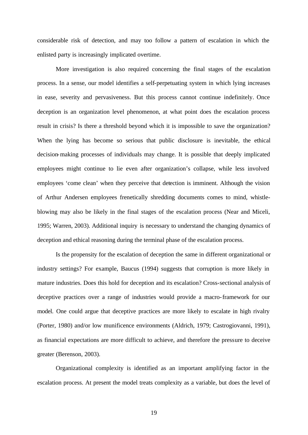considerable risk of detection, and may too follow a pattern of escalation in which the enlisted party is increasingly implicated overtime.

More investigation is also required concerning the final stages of the escalation process. In a sense, our model identifies a self-perpetuating system in which lying increases in ease, severity and pervasiveness. But this process cannot continue indefinitely. Once deception is an organization level phenomenon, at what point does the escalation process result in crisis? Is there a threshold beyond which it is impossible to save the organization? When the lying has become so serious that public disclosure is inevitable, the ethical decision-making processes of individuals may change. It is possible that deeply implicated employees might continue to lie even after organization's collapse, while less involved employees 'come clean' when they perceive that detection is imminent. Although the vision of Arthur Andersen employees frenetically shredding documents comes to mind, whistleblowing may also be likely in the final stages of the escalation process (Near and Miceli, 1995; Warren, 2003). Additional inquiry is necessary to understand the changing dynamics of deception and ethical reasoning during the terminal phase of the escalation process.

 Is the propensity for the escalation of deception the same in different organizational or industry settings? For example, Baucus (1994) suggests that corruption is more likely in mature industries. Does this hold for deception and its escalation? Cross-sectional analysis of deceptive practices over a range of industries would provide a macro-framework for our model. One could argue that deceptive practices are more likely to escalate in high rivalry (Porter, 1980) and/or low munificence environments (Aldrich, 1979; Castrogiovanni, 1991), as financial expectations are more difficult to achieve, and therefore the pressure to deceive greater (Berenson, 2003).

Organizational complexity is identified as an important amplifying factor in the escalation process. At present the model treats complexity as a variable, but does the level of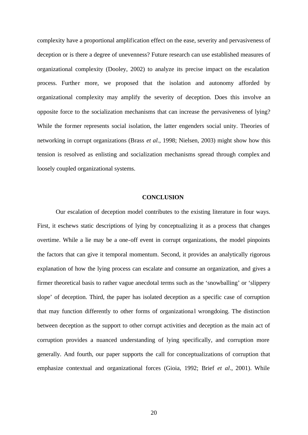complexity have a proportional amplification effect on the ease, severity and pervasiveness of deception or is there a degree of unevenness? Future research can use established measures of organizational complexity (Dooley, 2002) to analyze its precise impact on the escalation process. Further more, we proposed that the isolation and autonomy afforded by organizational complexity may amplify the severity of deception. Does this involve an opposite force to the socialization mechanisms that can increase the pervasiveness of lying? While the former represents social isolation, the latter engenders social unity. Theories of networking in corrupt organizations (Brass *et al.*, 1998; Nielsen, 2003) might show how this tension is resolved as enlisting and socialization mechanisms spread through complex and loosely coupled organizational systems.

#### **CONCLUSION**

Our escalation of deception model contributes to the existing literature in four ways. First, it eschews static descriptions of lying by conceptualizing it as a process that changes overtime. While a lie may be a one-off event in corrupt organizations, the model pinpoints the factors that can give it temporal momentum. Second, it provides an analytically rigorous explanation of how the lying process can escalate and consume an organization, and gives a firmer theoretical basis to rather vague anecdotal terms such as the 'snowballing' or 'slippery slope' of deception. Third, the paper has isolated deception as a specific case of corruption that may function differently to other forms of organizational wrongdoing. The distinction between deception as the support to other corrupt activities and deception as the main act of corruption provides a nuanced understanding of lying specifically, and corruption more generally. And fourth, our paper supports the call for conceptualizations of corruption that emphasize contextual and organizational forces (Gioia, 1992; Brief *et al*., 2001). While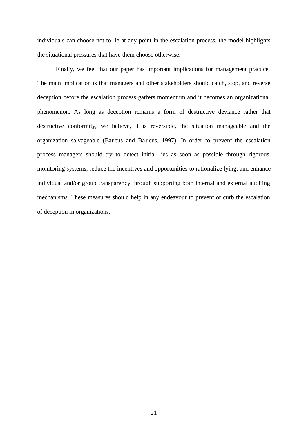individuals can choose not to lie at any point in the escalation process, the model highlights the situational pressures that have them choose otherwise.

Finally, we feel that our paper has important implications for management practice. The main implication is that managers and other stakeholders should catch, stop, and reverse deception before the escalation process gathers momentum and it becomes an organizational phenomenon. As long as deception remains a form of destructive deviance rather that destructive conformity, we believe, it is reversible, the situation manageable and the organization salvageable (Baucus and Baucus, 1997). In order to prevent the escalation process managers should try to detect initial lies as soon as possible through rigorous monitoring systems, reduce the incentives and opportunities to rationalize lying, and enhance individual and/or group transparency through supporting both internal and external auditing mechanisms. These measures should help in any endeavour to prevent or curb the escalation of deception in organizations.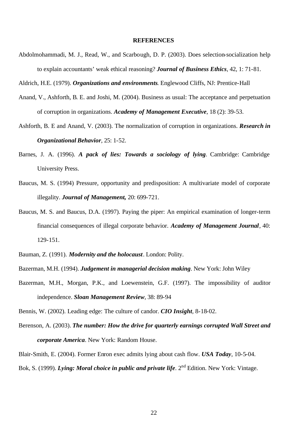#### **REFERENCES**

Abdolmohammadi, M. J., Read, W., and Scarbough, D. P. (2003). Does selection-socialization help to explain accountants' weak ethical reasoning? *Journal of Business Ethics*, 42, 1: 71-81.

Aldrich, H.E. (1979). *Organizations and environments*. Englewood Cliffs, NJ: Prentice-Hall

- Anand, V., Ashforth, B. E. and Joshi, M. (2004). Business as usual: The acceptance and perpetuation of corruption in organizations. *Academy of Management Executive*, 18 (2): 39-53.
- Ashforth, B. E and Anand, V. (2003). The normalization of corruption in organizations. *Research in Organizational Behavior*, 25: 1-52.
- Barnes, J. A. (1996). *A pack of lies: Towards a sociology of lying*. Cambridge: Cambridge University Press.
- Baucus, M. S. (1994) Pressure, opportunity and predisposition: A multivariate model of corporate illegality. *Journal of Management,* 20: 699-721.
- Baucus, M. S. and Baucus, D.A. (1997). Paying the piper: An empirical examination of longer-term financial consequences of illegal corporate behavior. *Academy of Management Journal*, 40: 129-151.
- Bauman, Z. (1991). *Modernity and the holocaust*. London: Polity.
- Bazerman, M.H. (1994). *Judgement in managerial decision making*. New York: John Wiley
- Bazerman, M.H., Morgan, P.K., and Loewenstein, G.F. (1997). The impossibility of auditor independence. *Sloan Management Review*, 38: 89-94
- Bennis, W. (2002). Leading edge: The culture of candor. *CIO Insight*, 8-18-02.
- Berenson, A. (2003). *The number: How the drive for quarterly earnings corrupted Wall Street and corporate America*. New York: Random House.

Blair-Smith, E. (2004). Former Enron exec admits lying about cash flow. *USA Today*, 10-5-04. Bok, S. (1999). *Lying: Moral choice in public and private life*. 2<sup>nd</sup> Edition. New York: Vintage.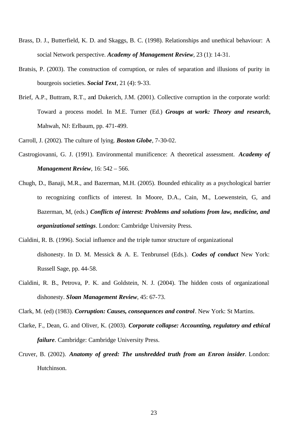- Brass, D. J., Butterfield, K. D. and Skaggs, B. C. (1998). Relationships and unethical behaviour: A social Network perspective. *Academy of Management Review*, 23 (1): 14-31.
- Bratsis, P. (2003). The construction of corruption, or rules of separation and illusions of purity in bourgeois societies. *Social Text*, 21 (4): 9-33.
- Brief, A.P., Buttram, R.T., and Dukerich, J.M. (2001). Collective corruption in the corporate world: Toward a process model. In M.E. Turner (Ed.) *Groups at work: Theory and research***,** Mahwah, NJ: Erlbaum, pp. 471-499.

Carroll, J. (2002). The culture of lying. *Boston Globe*, 7-30-02.

- Castrogiovanni, G. J. (1991). Environmental munificence: A theoretical assessment. *Academy of Management Review*, 16: 542 – 566.
- Chugh, D., Banaji, M.R., and Bazerman, M.H. (2005). Bounded ethicality as a psychological barrier to recognizing conflicts of interest. In Moore, D.A., Cain, M., Loewenstein, G, and Bazerman, M, (eds.) *Conflicts of interest: Problems and solutions from law, medicine, and organizational settings*. London: Cambridge University Press.
- Cialdini, R. B. (1996). Social influence and the triple tumor structure of organizational dishonesty. In D. M. Messick & A. E. Tenbrunsel (Eds.). *Codes of conduct* New York: Russell Sage, pp. 44-58.
- Cialdini, R. B., Petrova, P. K. and Goldstein, N. J. (2004). The hidden costs of organizational dishonesty. *Sloan Management Review*, 45: 67-73.

- Clarke, F., Dean, G. and Oliver, K. (2003). *Corporate collapse: Accounting, regulatory and ethical failure*. Cambridge: Cambridge University Press.
- Cruver, B. (2002). *Anatomy of greed: The unshredded truth from an Enron insider*. London: Hutchinson.

Clark, M. (ed) (1983). *Corruption: Causes, consequences and control*. New York: St Martins.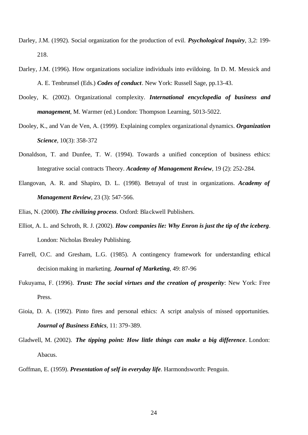- Darley, J.M. (1992). Social organization for the production of evil. *Psychological Inquiry*, 3,2: 199- 218.
- Darley, J.M. (1996). How organizations socialize individuals into evildoing. In D. M. Messick and A. E. Tenbrunsel (Eds.) *Codes of conduct*. New York: Russell Sage, pp.13-43.
- Dooley, K. (2002). Organizational complexity. *International encyclopedia of business and management*, M. Warmer (ed.) London: Thompson Learning, 5013-5022.
- Dooley, K., and Van de Ven, A. (1999). Explaining complex organizational dynamics. *Organization Science*, 10(3): 358-372
- Donaldson, T. and Dunfee, T. W. (1994). Towards a unified conception of business ethics: Integrative social contracts Theory. *Academy of Management Review*, 19 (2): 252-284.
- Elangovan, A. R. and Shapiro, D. L. (1998). Betrayal of trust in organizations. *Academy of Management Review*, 23 (3): 547-566.
- Elias, N. (2000). *The civilizing process*. Oxford: Blackwell Publishers.
- Elliot, A. L. and Schroth, R. J. (2002). *How companies lie: Why Enron is just the tip of the iceberg*. London: Nicholas Brealey Publishing.
- Farrell, O.C. and Gresham, L.G. (1985). A contingency framework for understanding ethical decision making in marketing. *Journal of Marketing*, 49: 87-96
- Fukuyama, F. (1996). *Trust: The social virtues and the creation of prosperity*: New York: Free Press.
- Gioia, D. A. (1992). Pinto fires and personal ethics: A script analysis of missed opportunities. *Journal of Business Ethics*, 11: 379-389.
- Gladwell, M. (2002). *The tipping point: How little things can make a big difference*. London: Abacus.

Goffman, E. (1959). *Presentation of self in everyday life*. Harmondsworth: Penguin.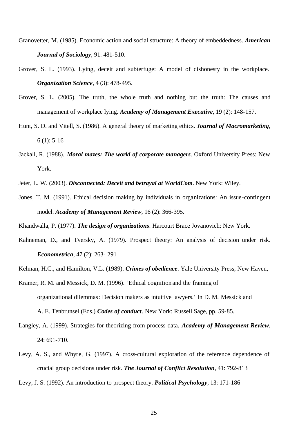Granovetter, M. (1985). Economic action and social structure: A theory of embeddedness. *American Journal of Sociology,* 91: 481-510.

- Grover, S. L. (1993). Lying, deceit and subterfuge: A model of dishonesty in the workplace. *Organization Science*, 4 (3): 478-495.
- Grover, S. L. (2005). The truth, the whole truth and nothing but the truth: The causes and management of workplace lying. *Academy of Management Executive*, 19 (2): 148-157.
- Hunt, S. D. and Vitell, S. (1986). A general theory of marketing ethics. *Journal of Macromarketing*,  $6(1): 5-16$
- Jackall, R. (1988). *Moral mazes: The world of corporate managers*. Oxford University Press: New York.
- Jeter, L. W. (2003). *Disconnected: Deceit and betrayal at WorldCom*. New York: Wiley.
- Jones, T. M. (1991). Ethical decision making by individuals in organizations: An issue-contingent model. *Academy of Management Review*, 16 (2): 366-395.

Khandwalla, P. (1977). *The design of organizations*. Harcourt Brace Jovanovich: New York.

- Kahneman, D., and Tversky, A. (1979). Prospect theory: An analysis of decision under risk. *Econometrica*, 47 (2): 263- 291
- Kelman, H.C., and Hamilton, V.L. (1989). *Crimes of obedience*. Yale University Press, New Haven,
- Kramer, R. M. and Messick, D. M. (1996). 'Ethical cognition and the framing of organizational dilemmas: Decision makers as intuitive lawyers.' In D. M. Messick and A. E. Tenbrunsel (Eds.) *Codes of conduct*. New York: Russell Sage, pp. 59-85.
- Langley, A. (1999). Strategies for theorizing from process data. *Academy of Management Review*, 24: 691-710.
- Levy, A. S., and Whyte, G. (1997). A cross-cultural exploration of the reference dependence of crucial group decisions under risk. *The Journal of Conflict Resolution*, 41: 792-813
- Levy, J. S. (1992). An introduction to prospect theory. *Political Psychology*, 13: 171-186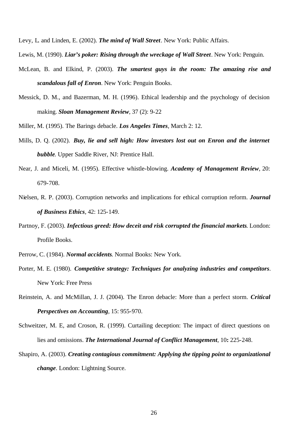Levy, L. and Linden, E. (2002). *The mind of Wall Street*. New York: Public Affairs.

Lewis, M. (1990). *Liar's poker: Rising through the wreckage of Wall Street*. New York: Penguin.

- McLean, B. and Elkind, P. (2003). *The smartest guys in the room: The amazing rise and scandalous fall of Enron*. New York: Penguin Books.
- Messick, D. M., and Bazerman, M. H. (1996). Ethical leadership and the psychology of decision making. *Sloan Management Review*, 37 (2): 9-22
- Miller, M. (1995). The Barings debacle. *Los Angeles Times*, March 2: 12.
- Mills, D. Q. (2002). *Buy, lie and sell high: How investors lost out on Enron and the internet bubble*. Upper Saddle River, NJ: Prentice Hall.
- Near, J. and Miceli, M. (1995). Effective whistle-blowing. *Academy of Management Review*, 20: 679-708.
- Nielsen, R. P. (2003). Corruption networks and implications for ethical corruption reform. *Journal of Business Ethics*, 42: 125-149.
- Partnoy, F. (2003). *Infectious greed: How deceit and risk corrupted the financial markets*. London: Profile Books.
- Perrow, C. (1984). *Normal accidents*. Normal Books: New York.
- Porter, M. E. (1980). *Competitive strategy: Techniques for analyzing industries and competitors*. New York: Free Press
- Reinstein, A. and McMillan, J. J. (2004). The Enron debacle: More than a perfect storm. *Critical Perspectives on Accounting*, 15: 955-970.
- Schweitzer, M. E, and Croson, R. (1999). Curtailing deception: The impact of direct questions on lies and omissions. *The International Journal of Conflict Management*, 10**:** 225-248.
- Shapiro, A. (2003). *Creating contagious commitment: Applying the tipping point to organizational change*. London: Lightning Source.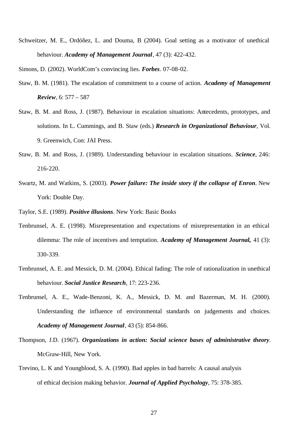Schweitzer, M. E., Ordóñez, L. and Douma, B (2004). Goal setting as a motivator of unethical behaviour. *Academy of Management Journal*, 47 (3): 422-432.

Simons, D. (2002). WorldCom's convincing lies. *Forbes*. 07-08-02.

- Staw, B. M. (1981). The escalation of commitment to a course of action. *Academy of Management Review*, 6: 577 – 587
- Staw, B. M. and Ross, J. (1987). Behaviour in escalation situations: Antecedents, prototypes, and solutions. In L. Cummings, and B. Staw (eds.) *Research in Organizational Behaviour*, Vol. 9. Greenwich, Con: JAI Press.
- Staw, B. M. and Ross, J. (1989). Understanding behaviour in escalation situations. *Science*, 246: 216-220.
- Swartz, M. and Watkins, S. (2003). *Power failure: The inside story if the collapse of Enron*. New York: Double Day.
- Taylor, S.E. (1989). *Positive illusions*. New York: Basic Books
- Tenbrunsel, A. E. (1998). Misrepresentation and expectations of misrepresentation in an ethical dilemma: The role of incentives and temptation. *Academy of Management Journal,* 41 (3): 330-339.
- Tenbrunsel, A. E. and Messick, D. M. (2004). Ethical fading: The role of rationalization in unethical behaviour. *Social Justice Research*, 17: 223-236.
- Tenbrunsel, A. E., Wade-Benzoni, K. A., Messick, D. M. and Bazerman, M. H. (2000). Understanding the influence of environmental standards on judgements and choices. *Academy of Management Journal*, 43 (5): 854-866.
- Thompson, J.D. (1967). *Organizations in action: Social science bases of administrative theory*. McGraw-Hill, New York.
- Trevino, L. K and Youngblood, S. A. (1990). Bad apples in bad barrels: A causal analysis of ethical decision making behavior. *Journal of Applied Psychology*, 75: 378-385.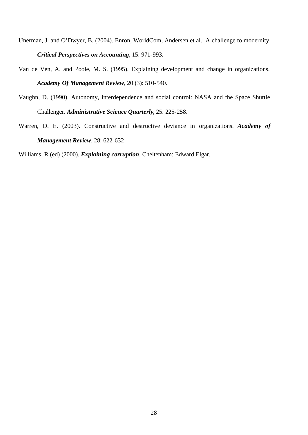- Unerman, J. and O'Dwyer, B. (2004). Enron, WorldCom, Andersen et al.: A challenge to modernity. *Critical Perspectives on Accounting*, 15: 971-993.
- Van de Ven, A. and Poole, M. S. (1995). Explaining development and change in organizations. *Academy Of Management Review*, 20 (3): 510-540.
- Vaughn, D. (1990). Autonomy, interdependence and social control: NASA and the Space Shuttle Challenger. *Administrative Science Quarterly*, 25: 225-258.
- Warren, D. E. (2003). Constructive and destructive deviance in organizations. *Academy of Management Review*, 28: 622-632

Williams, R (ed) (2000). *Explaining corruption*. Cheltenham: Edward Elgar.